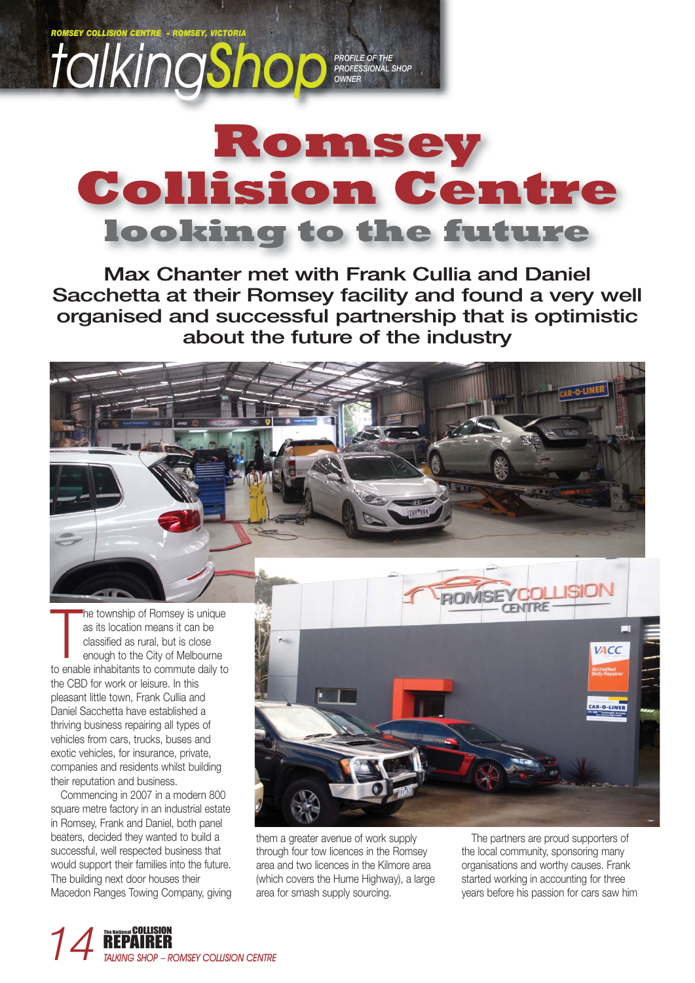

## **Romsey Collision Centre looking to the future**

**Max Chanter met with Frank Cullia and Daniel Sacchetta at their Romsey facility and found a very well organised and successful partnership that is optimistic about the future of the industry**

The township of Romsey is unique<br>as its location means it can be<br>classified as rural, but is close<br>enough to the City of Melbourne<br>to enable inhabitants to commute daily to he township of Romsey is unique as its location means it can be classified as rural, but is close enough to the City of Melbourne the CBD for work or leisure. In this pleasant little town, Frank Cullia and Daniel Sacchetta have established a thriving business repairing all types of vehicles from cars, trucks, buses and exotic vehicles, for insurance, private, companies and residents whilst building their reputation and business.

Commencing in 2007 in a modern 800 square metre factory in an industrial estate in Romsey, Frank and Daniel, both panel beaters, decided they wanted to build a successful, well respected business that would support their families into the future. The building next door houses their Macedon Ranges Towing Company, giving



them a greater avenue of work supply through four tow licences in the Romsey area and two licences in the Kilmore area (which covers the Hume Highway), a large area for smash supply sourcing.

The partners are proud supporters of the local community, sponsoring many organisations and worthy causes. Frank started working in accounting for three years before his passion for cars saw him

AR-O-LINE